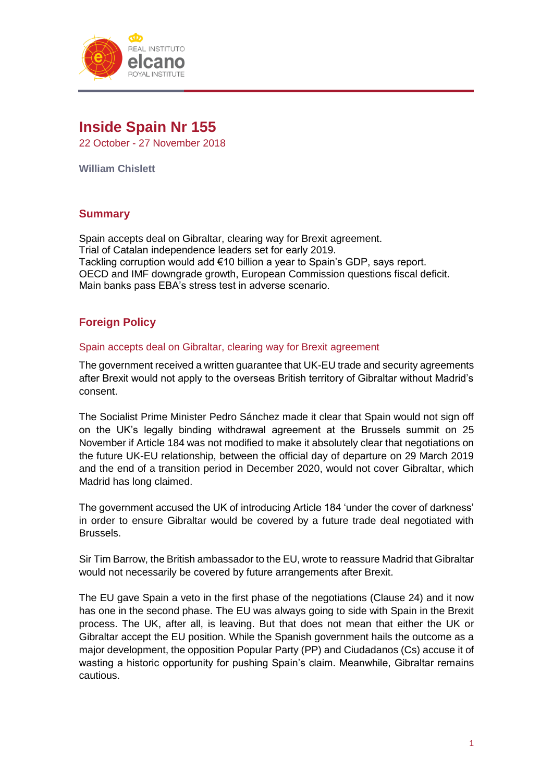

# **Inside Spain Nr 155**

22 October - 27 November 2018

**William Chislett**

# **Summary**

Spain accepts deal on Gibraltar, clearing way for Brexit agreement. Trial of Catalan independence leaders set for early 2019. Tackling corruption would add €10 billion a year to Spain's GDP, says report. OECD and IMF downgrade growth, European Commission questions fiscal deficit. Main banks pass EBA's stress test in adverse scenario.

# **Foreign Policy**

# Spain accepts deal on Gibraltar, clearing way for Brexit agreement

The government received a written guarantee that UK-EU trade and security agreements after Brexit would not apply to the overseas British territory of Gibraltar without Madrid's consent.

The Socialist Prime Minister Pedro Sánchez made it clear that Spain would not sign off on the UK's legally binding withdrawal agreement at the Brussels summit on 25 November if Article 184 was not modified to make it absolutely clear that negotiations on the future UK-EU relationship, between the official day of departure on 29 March 2019 and the end of a transition period in December 2020, would not cover Gibraltar, which Madrid has long claimed.

The government accused the UK of introducing Article 184 'under the cover of darkness' in order to ensure Gibraltar would be covered by a future trade deal negotiated with Brussels.

Sir Tim Barrow, the British ambassador to the EU, wrote to reassure Madrid that Gibraltar would not necessarily be covered by future arrangements after Brexit.

The EU gave Spain a veto in the first phase of the negotiations (Clause 24) and it now has one in the second phase. The EU was always going to side with Spain in the Brexit process. The UK, after all, is leaving. But that does not mean that either the UK or Gibraltar accept the EU position. While the Spanish government hails the outcome as a major development, the opposition Popular Party (PP) and Ciudadanos (Cs) accuse it of wasting a historic opportunity for pushing Spain's claim. Meanwhile, Gibraltar remains cautious.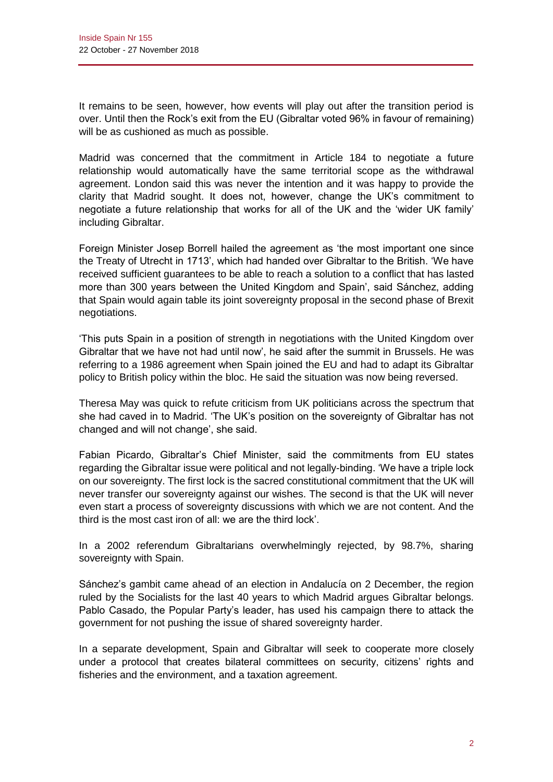It remains to be seen, however, how events will play out after the transition period is over. Until then the Rock's exit from the EU (Gibraltar voted 96% in favour of remaining) will be as cushioned as much as possible.

Madrid was concerned that the commitment in Article 184 to negotiate a future relationship would automatically have the same territorial scope as the withdrawal agreement. London said this was never the intention and it was happy to provide the clarity that Madrid sought. It does not, however, change the UK's commitment to negotiate a future relationship that works for all of the UK and the 'wider UK family' including Gibraltar.

Foreign Minister Josep Borrell hailed the agreement as 'the most important one since the Treaty of Utrecht in 1713', which had handed over Gibraltar to the British. 'We have received sufficient guarantees to be able to reach a solution to a conflict that has lasted more than 300 years between the United Kingdom and Spain', said Sánchez, adding that Spain would again table its joint sovereignty proposal in the second phase of Brexit negotiations.

'This puts Spain in a position of strength in negotiations with the United Kingdom over Gibraltar that we have not had until now', he said after the summit in Brussels. He was referring to a 1986 agreement when Spain joined the EU and had to adapt its Gibraltar policy to British policy within the bloc. He said the situation was now being reversed.

Theresa May was quick to refute criticism from UK politicians across the spectrum that she had caved in to Madrid. 'The UK's position on the sovereignty of Gibraltar has not changed and will not change', she said.

Fabian Picardo, Gibraltar's Chief Minister, said the commitments from EU states regarding the Gibraltar issue were political and not legally-binding. 'We have a triple lock on our sovereignty. The first lock is the sacred constitutional commitment that the UK will never transfer our sovereignty against our wishes. The second is that the UK will never even start a process of sovereignty discussions with which we are not content. And the third is the most cast iron of all: we are the third lock'.

In a 2002 referendum Gibraltarians overwhelmingly rejected, by 98.7%, sharing sovereignty with Spain.

Sánchez's gambit came ahead of an election in Andalucía on 2 December, the region ruled by the Socialists for the last 40 years to which Madrid argues Gibraltar belongs. Pablo Casado, the Popular Party's leader, has used his campaign there to attack the government for not pushing the issue of shared sovereignty harder.

In a separate development, Spain and Gibraltar will seek to cooperate more closely under a protocol that creates bilateral committees on security, citizens' rights and fisheries and the environment, and a taxation agreement.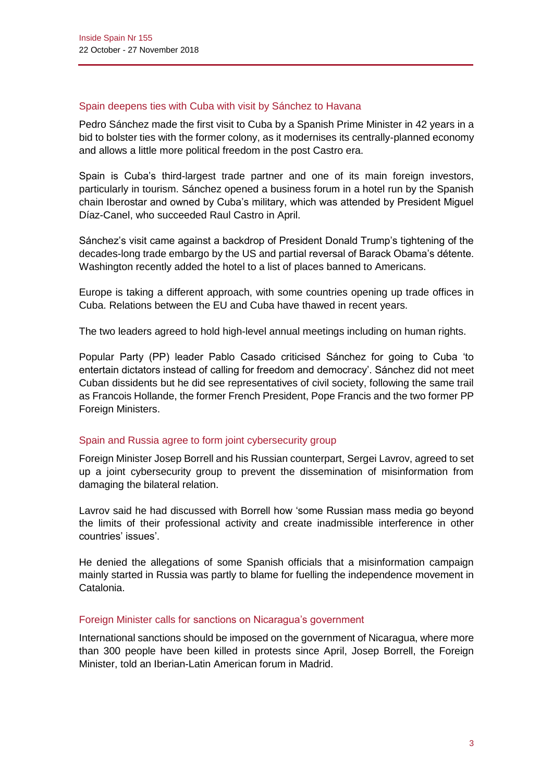# Spain deepens ties with Cuba with visit by Sánchez to Havana

Pedro Sánchez made the first visit to Cuba by a Spanish Prime Minister in 42 years in a bid to bolster ties with the former colony, as it modernises its centrally-planned economy and allows a little more political freedom in the post Castro era.

Spain is Cuba's third-largest trade partner and one of its main foreign investors, particularly in tourism. Sánchez opened a business forum in a hotel run by the Spanish chain Iberostar and owned by Cuba's military, which was attended by President Miguel Díaz-Canel, who succeeded Raul Castro in April.

Sánchez's visit came against a backdrop of President Donald Trump's tightening of the decades-long trade embargo by the US and partial reversal of Barack Obama's détente. Washington recently added the hotel to a list of places banned to Americans.

Europe is taking a different approach, with some countries opening up trade offices in Cuba. Relations between the EU and Cuba have thawed in recent years.

The two leaders agreed to hold high-level annual meetings including on human rights.

Popular Party (PP) leader Pablo Casado criticised Sánchez for going to Cuba 'to entertain dictators instead of calling for freedom and democracy'. Sánchez did not meet Cuban dissidents but he did see representatives of civil society, following the same trail as Francois Hollande, the former French President, Pope Francis and the two former PP Foreign Ministers.

# Spain and Russia agree to form joint cybersecurity group

Foreign Minister Josep Borrell and his Russian counterpart, Sergei Lavrov, agreed to set up a joint cybersecurity group to prevent the dissemination of misinformation from damaging the bilateral relation.

Lavrov said he had discussed with Borrell how 'some Russian mass media go beyond the limits of their professional activity and create inadmissible interference in other countries' issues'.

He denied the allegations of some Spanish officials that a misinformation campaign mainly started in Russia was partly to blame for fuelling the independence movement in Catalonia.

#### Foreign Minister calls for sanctions on Nicaragua's government

International sanctions should be imposed on the government of Nicaragua, where more than 300 people have been killed in protests since April, Josep Borrell, the Foreign Minister, told an Iberian-Latin American forum in Madrid.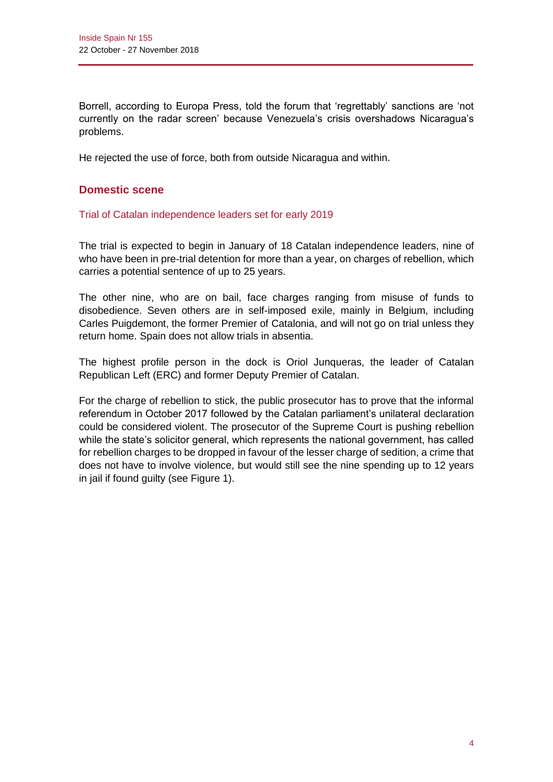Borrell, according to Europa Press, told the forum that 'regrettably' sanctions are 'not currently on the radar screen' because Venezuela's crisis overshadows Nicaragua's problems.

He rejected the use of force, both from outside Nicaragua and within.

# **Domestic scene**

# Trial of Catalan independence leaders set for early 2019

The trial is expected to begin in January of 18 Catalan independence leaders, nine of who have been in pre-trial detention for more than a year, on charges of rebellion, which carries a potential sentence of up to 25 years.

The other nine, who are on bail, face charges ranging from misuse of funds to disobedience. Seven others are in self-imposed exile, mainly in Belgium, including Carles Puigdemont, the former Premier of Catalonia, and will not go on trial unless they return home. Spain does not allow trials in absentia.

The highest profile person in the dock is Oriol Junqueras, the leader of Catalan Republican Left (ERC) and former Deputy Premier of Catalan.

For the charge of rebellion to stick, the public prosecutor has to prove that the informal referendum in October 2017 followed by the Catalan parliament's unilateral declaration could be considered violent. The prosecutor of the Supreme Court is pushing rebellion while the state's solicitor general, which represents the national government, has called for rebellion charges to be dropped in favour of the lesser charge of sedition, a crime that does not have to involve violence, but would still see the nine spending up to 12 years in jail if found guilty (see Figure 1).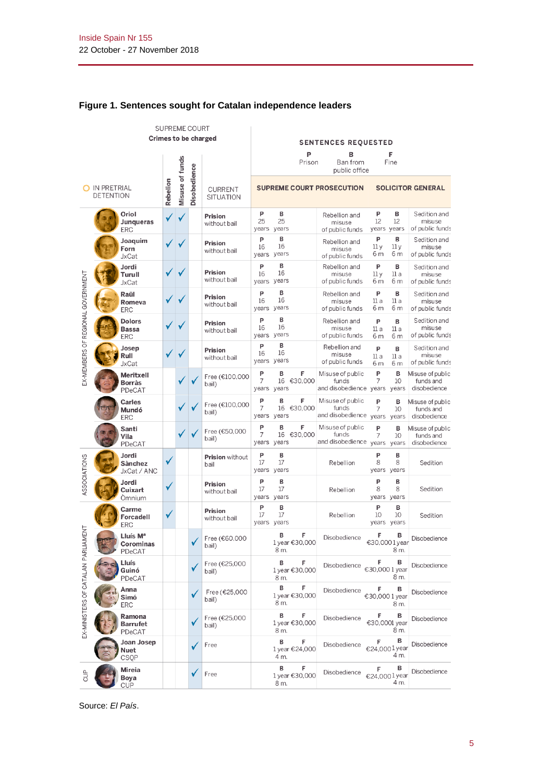|                                   | SUPREME COURT |                                             |                 |              |                                    |                         |                                |                                  |                                                           |                                      |                                               |
|-----------------------------------|---------------|---------------------------------------------|-----------------|--------------|------------------------------------|-------------------------|--------------------------------|----------------------------------|-----------------------------------------------------------|--------------------------------------|-----------------------------------------------|
|                                   |               |                                             |                 |              |                                    | Crimes to be charged    | <b>SENTENCES REQUESTED</b>     |                                  |                                                           |                                      |                                               |
|                                   |               |                                             |                 |              |                                    | P<br>Prison             | в<br>Ban from<br>public office | Fine                             |                                                           |                                      |                                               |
| O IN PRETRIAL<br><b>DETENTION</b> |               | Rebelion                                    | Misuse of funds | Disobedience | <b>CURRENT</b><br><b>SITUATION</b> |                         |                                | <b>SUPREME COURT PROSECUTION</b> |                                                           | <b>SOLICITOR GENERAL</b>             |                                               |
|                                   |               | Oriol<br>Junqueras<br><b>ERC</b>            | √               |              |                                    | Prision<br>without bail | P<br>25<br>years               | в<br>25<br>years                 | Rebellion and<br>misuse<br>of public funds                | P<br>в<br>12<br>12<br>years years    | Sedition and<br>misuse<br>of public funds     |
|                                   |               | Joaquim<br>Forn<br><b>JxCat</b>             | ✓               |              |                                    | Prision<br>without bail | P<br>16<br>years years         | B<br>16                          | Rebellion and<br>misuse<br>of public funds                | P<br>в<br>11y<br>11y<br>6 m<br>6 m   | Sedition and<br>misuse<br>of public funds     |
|                                   |               | Jordi<br>Turull<br><b>JxCat</b>             | ✓               |              |                                    | Prision<br>without bail | P<br>16<br>years years         | B<br>16                          | Rebellion and<br>misuse<br>of public funds                | P<br>в<br>11 a<br>11 y<br>6 m<br>6 m | Sedition and<br>misuse<br>of public funds     |
|                                   |               | Raül<br>Romeva<br><b>ERC</b>                | ✓               |              |                                    | Prision<br>without bail | P<br>16<br>years               | в<br>16<br>years                 | Rebellion and<br>misuse<br>of public funds                | P<br>в<br>11 a<br>11 a<br>6 m<br>6 m | Sedition and<br>misuse<br>of public funds     |
| EX-MEMBERS OF REGIONAL GOVERNMENT |               | <b>Dolors</b><br><b>Bassa</b><br><b>ERC</b> | ✓               |              |                                    | Prision<br>without bail | P<br>16<br>years               | B<br>16<br>years                 | Rebellion and<br>misuse<br>of public funds                | P<br>в<br>11 a<br>11a<br>6 m<br>6 m  | Sedition and<br>misuse<br>of public funds     |
|                                   |               | Josep<br>Rull<br><b>JxCat</b>               | ✓               |              |                                    | Prision<br>without bail | P<br>16<br>years years         | B<br>16                          | Rebellion and<br>misuse<br>of public funds                | P<br>в<br>11a<br>11a<br>6 m<br>6 m   | Sedition and<br>misuse<br>of public funds     |
|                                   |               | Meritxell<br>Borràs<br>PDeCAT               |                 |              |                                    | Free (€100,000<br>bail) | P<br>7<br>years years          | F<br>в<br>16 €30,000             | Misuse of public<br>funds<br>and disobedience years years | P<br>B<br>7<br>10                    | Misuse of public<br>funds and<br>disobedience |
|                                   |               | <b>Carles</b><br>Mundó<br><b>ERC</b>        |                 |              |                                    | Free (€100,000<br>bail) | P<br>7<br>years                | F<br>в<br>16 €30,000<br>years    | Misuse of public<br>funds<br>and disobedience years years | P<br>B<br>10<br>7                    | Misuse of public<br>funds and<br>disobedience |
|                                   |               | Santi<br>Vila<br>PDeCAT                     |                 |              |                                    | Free (€50,000<br>bail)  | P<br>7<br>years                | F<br>B<br>16 €30,000<br>years    | Misuse of public<br>funds<br>and disobedience years       | P<br>B<br>7<br>10<br>years           | Misuse of public<br>funds and<br>disobedience |
| ASSOCIATIONS                      |               | Jordi<br><b>Sànchez</b><br>JxCat / ANC      | ✓               |              |                                    | Prision without<br>bail | P<br>17<br>years               | В<br>17<br>years                 | Rebellion                                                 | P<br>в<br>8<br>8<br>years years      | Sedition                                      |
|                                   |               | Jordi<br>Cuixart<br>Omnium                  | ✓               |              |                                    | Prision<br>without bail | P<br>17<br>years               | B<br>17<br>years                 | Rebellion                                                 | P<br>в<br>8<br>8<br>years years      | Sedition                                      |
|                                   |               | Carme<br>Forcadell<br><b>ERC</b>            | ✓               |              |                                    | Prision<br>without bail | P<br>17<br>years years         | B<br>17                          | Rebellion                                                 | P<br>B<br>10<br>10<br>years years    | Sedition                                      |
| <b>MENT</b>                       |               | Lluís M <sup>a</sup><br>Corominas<br>PDeCAT |                 |              |                                    | Free (€60,000<br>bail)  |                                | В<br>F<br>1 year €30,000<br>8 m. | Disobedience                                              | F<br>в<br>€30,0001year<br>8 m.       | Disobedience                                  |
|                                   |               | Lluís<br>Guinó<br>PDeCAT                    |                 |              | ✓                                  | Free (€25,000<br>bail)  |                                | В<br>F<br>1 year €30,000<br>8 m. | Disobedience                                              | в<br>F<br>€30,0001 year<br>8 m.      | Disobedience                                  |
| EX-MINISTERS OF CATALAN PARLIA    |               | Anna<br>Simó<br><b>ERC</b>                  |                 |              |                                    | Free (€25,000<br>bail)  |                                | в<br>F<br>1 year €30,000<br>8 m. | Disobedience                                              | в<br>F<br>€30,0001 year<br>8 m.      | Disobedience                                  |
|                                   |               | Ramona<br><b>Barrufet</b><br>PDeCAT         |                 |              |                                    | Free (€25,000<br>bail)  |                                | в<br>F<br>1 year €30,000<br>8 m. | Disobedience                                              | в<br>F<br>€30,0001 year<br>8 m.      | Disobedience                                  |
|                                   |               | Joan Josep<br>Nuet<br>CSQP                  |                 |              |                                    | Free                    |                                | в<br>F<br>1 year €24,000<br>4 m. | Disobedience                                              | в<br>F<br>€24,0001year<br>4 m.       | Disobedience                                  |
| <b>SP</b>                         |               | Mireia<br>Boya<br><b>CUP</b>                |                 |              | ✓                                  | Free                    |                                | в<br>F<br>1 year €30,000<br>8 m. | Disobedience                                              | в<br>F<br>€24,0001year<br>4 m.       | Disobedience                                  |

# **Figure 1. Sentences sought for Catalan independence leaders**

Source: *El País*.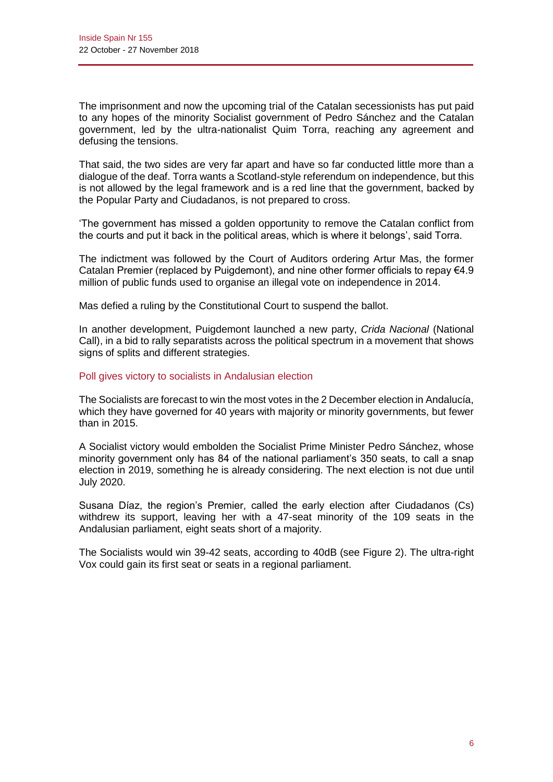The imprisonment and now the upcoming trial of the Catalan secessionists has put paid to any hopes of the minority Socialist government of Pedro Sánchez and the Catalan government, led by the ultra-nationalist Quim Torra, reaching any agreement and defusing the tensions.

That said, the two sides are very far apart and have so far conducted little more than a dialogue of the deaf. Torra wants a Scotland-style referendum on independence, but this is not allowed by the legal framework and is a red line that the government, backed by the Popular Party and Ciudadanos, is not prepared to cross.

'The government has missed a golden opportunity to remove the Catalan conflict from the courts and put it back in the political areas, which is where it belongs', said Torra.

The indictment was followed by the Court of Auditors ordering Artur Mas, the former Catalan Premier (replaced by Puigdemont), and nine other former officials to repay €4.9 million of public funds used to organise an illegal vote on independence in 2014.

Mas defied a ruling by the Constitutional Court to suspend the ballot.

In another development, Puigdemont launched a new party, *Crida Nacional* (National Call), in a bid to rally separatists across the political spectrum in a movement that shows signs of splits and different strategies.

#### Poll gives victory to socialists in Andalusian election

The Socialists are forecast to win the most votes in the 2 December election in Andalucía, which they have governed for 40 years with majority or minority governments, but fewer than in 2015.

A Socialist victory would embolden the Socialist Prime Minister Pedro Sánchez, whose minority government only has 84 of the national parliament's 350 seats, to call a snap election in 2019, something he is already considering. The next election is not due until July 2020.

Susana Díaz, the region's Premier, called the early election after Ciudadanos (Cs) withdrew its support, leaving her with a 47-seat minority of the 109 seats in the Andalusian parliament, eight seats short of a majority.

The Socialists would win 39-42 seats, according to 40dB (see Figure 2). The ultra-right Vox could gain its first seat or seats in a regional parliament.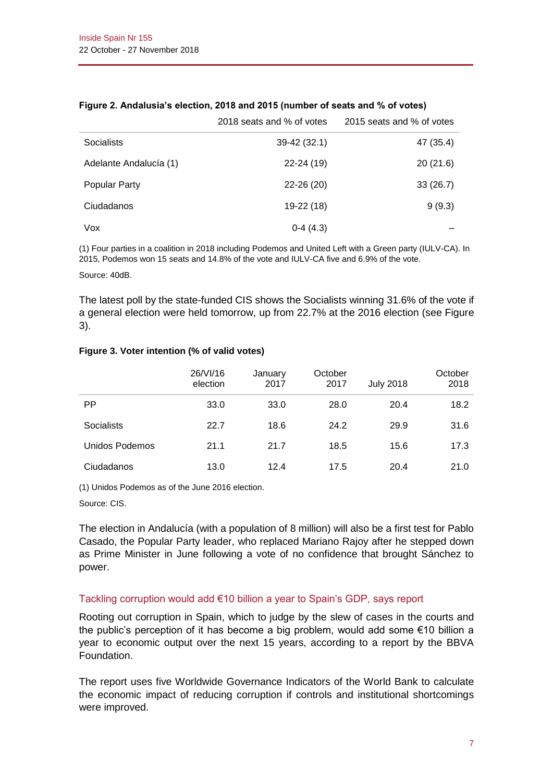|                        | 2018 seats and % of votes | 2015 seats and % of votes |
|------------------------|---------------------------|---------------------------|
| <b>Socialists</b>      | $39-42(32.1)$             | 47 (35.4)                 |
| Adelante Andalucía (1) | $22 - 24(19)$             | 20(21.6)                  |
| <b>Popular Party</b>   | $22 - 26(20)$             | 33(26.7)                  |
| Ciudadanos             | 19-22 (18)                | 9(9.3)                    |
| Vox                    | $0-4(4.3)$                |                           |

#### **Figure 2. Andalusia's election, 2018 and 2015 (number of seats and % of votes)**

(1) Four parties in a coalition in 2018 including Podemos and United Left with a Green party (IULV-CA). In 2015, Podemos won 15 seats and 14.8% of the vote and IULV-CA five and 6.9% of the vote.

Source: 40dB.

The latest poll by the state-funded CIS shows the Socialists winning 31.6% of the vote if a general election were held tomorrow, up from 22.7% at the 2016 election (see Figure 3).

#### **Figure 3. Voter intention (% of valid votes)**

|                   | 26/VI/16<br>election | January<br>2017 | October<br>2017 | <b>July 2018</b> | October<br>2018 |
|-------------------|----------------------|-----------------|-----------------|------------------|-----------------|
| <b>PP</b>         | 33.0                 | 33.0            | 28.0            | 20.4             | 18.2            |
| <b>Socialists</b> | 22.7                 | 18.6            | 24.2            | 29.9             | 31.6            |
| Unidos Podemos    | 21.1                 | 21.7            | 18.5            | 15.6             | 17.3            |
| Ciudadanos        | 13.0                 | 12.4            | 17.5            | 20.4             | 21.0            |

(1) Unidos Podemos as of the June 2016 election.

Source: CIS.

The election in Andalucía (with a population of 8 million) will also be a first test for Pablo Casado, the Popular Party leader, who replaced Mariano Rajoy after he stepped down as Prime Minister in June following a vote of no confidence that brought Sánchez to power.

#### Tackling corruption would add €10 billion a year to Spain's GDP, says report

Rooting out corruption in Spain, which to judge by the slew of cases in the courts and the public's perception of it has become a big problem, would add some €10 billion a year to economic output over the next 15 years, according to a report by the BBVA Foundation.

The report uses five Worldwide Governance Indicators of the World Bank to calculate the economic impact of reducing corruption if controls and institutional shortcomings were improved.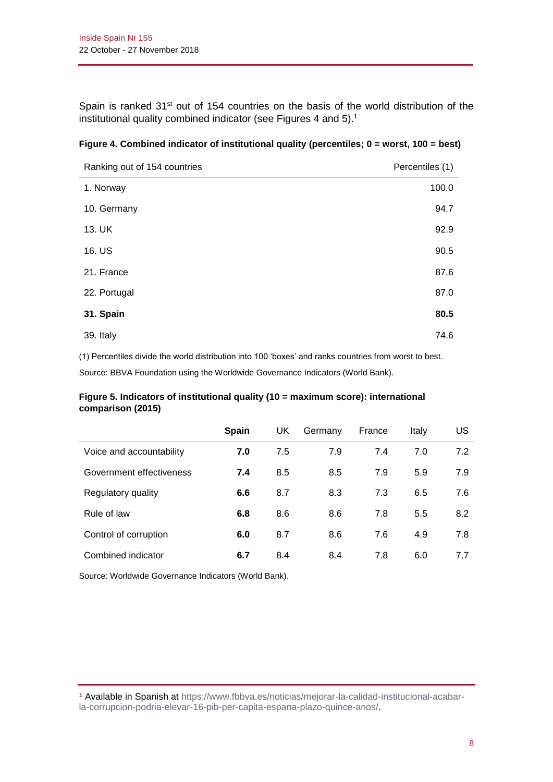Spain is ranked 31<sup>st</sup> out of 154 countries on the basis of the world distribution of the institutional quality combined indicator (see Figures 4 and 5).<sup>1</sup>

| Ranking out of 154 countries | Percentiles (1) |
|------------------------------|-----------------|
| 1. Norway                    | 100.0           |
| 10. Germany                  | 94.7            |
| 13. UK                       | 92.9            |
| 16. US                       | 90.5            |
| 21. France                   | 87.6            |
| 22. Portugal                 | 87.0            |
| 31. Spain                    | 80.5            |
| 39. Italy                    | 74.6            |

| Figure 4. Combined indicator of institutional quality (percentiles; 0 = worst, 100 = best) |  |  |  |  |  |
|--------------------------------------------------------------------------------------------|--|--|--|--|--|
|--------------------------------------------------------------------------------------------|--|--|--|--|--|

(1) Percentiles divide the world distribution into 100 'boxes' and ranks countries from worst to best. Source: BBVA Foundation using the Worldwide Governance Indicators (World Bank).

# **Figure 5. Indicators of institutional quality (10 = maximum score): international comparison (2015)**

|                          | <b>Spain</b> | UK. | Germany | France | Italy | US  |
|--------------------------|--------------|-----|---------|--------|-------|-----|
| Voice and accountability | 7.0          | 7.5 | 7.9     | 7.4    | 7.0   | 7.2 |
| Government effectiveness | 7.4          | 8.5 | 8.5     | 7.9    | 5.9   | 7.9 |
| Regulatory quality       | 6.6          | 8.7 | 8.3     | 7.3    | 6.5   | 7.6 |
| Rule of law              | 6.8          | 8.6 | 8.6     | 7.8    | 5.5   | 8.2 |
| Control of corruption    | 6.0          | 8.7 | 8.6     | 7.6    | 4.9   | 7.8 |
| Combined indicator       | 6.7          | 8.4 | 8.4     | 7.8    | 6.0   | 7.7 |

Source: Worldwide Governance Indicators (World Bank).

<sup>1</sup> Available in Spanish at [https://www.fbbva.es/noticias/mejorar-la-calidad-institucional-acabar](https://www.fbbva.es/noticias/mejorar-la-calidad-institucional-acabar-la-corrupcion-podria-elevar-16-pib-per-capita-espana-plazo-quince-anos/)[la-corrupcion-podria-elevar-16-pib-per-capita-espana-plazo-quince-anos/.](https://www.fbbva.es/noticias/mejorar-la-calidad-institucional-acabar-la-corrupcion-podria-elevar-16-pib-per-capita-espana-plazo-quince-anos/)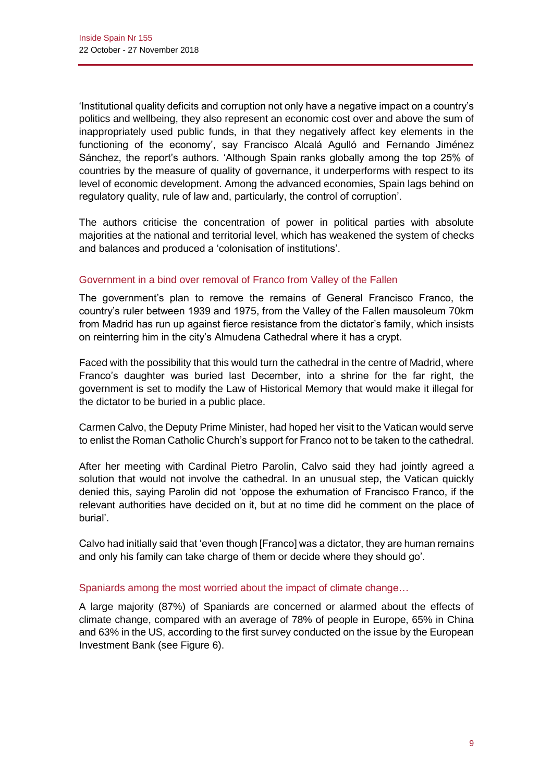'Institutional quality deficits and corruption not only have a negative impact on a country's politics and wellbeing, they also represent an economic cost over and above the sum of inappropriately used public funds, in that they negatively affect key elements in the functioning of the economy', say Francisco Alcalá Agulló and Fernando Jiménez Sánchez, the report's authors. 'Although Spain ranks globally among the top 25% of countries by the measure of quality of governance, it underperforms with respect to its level of economic development. Among the advanced economies, Spain lags behind on regulatory quality, rule of law and, particularly, the control of corruption'.

The authors criticise the concentration of power in political parties with absolute majorities at the national and territorial level, which has weakened the system of checks and balances and produced a 'colonisation of institutions'.

# Government in a bind over removal of Franco from Valley of the Fallen

The government's plan to remove the remains of General Francisco Franco, the country's ruler between 1939 and 1975, from the Valley of the Fallen mausoleum 70km from Madrid has run up against fierce resistance from the dictator's family, which insists on reinterring him in the city's Almudena Cathedral where it has a crypt.

Faced with the possibility that this would turn the cathedral in the centre of Madrid, where Franco's daughter was buried last December, into a shrine for the far right, the government is set to modify the Law of Historical Memory that would make it illegal for the dictator to be buried in a public place.

Carmen Calvo, the Deputy Prime Minister, had hoped her visit to the Vatican would serve to enlist the Roman Catholic Church's support for Franco not to be taken to the cathedral.

After her meeting with Cardinal Pietro Parolin, Calvo said they had jointly agreed a solution that would not involve the cathedral. In an unusual step, the Vatican quickly denied this, saying Parolin did not 'oppose the exhumation of Francisco Franco, if the relevant authorities have decided on it, but at no time did he comment on the place of burial'.

Calvo had initially said that 'even though [Franco] was a dictator, they are human remains and only his family can take charge of them or decide where they should go'.

# Spaniards among the most worried about the impact of climate change...

A large majority (87%) of Spaniards are concerned or alarmed about the effects of climate change, compared with an average of 78% of people in Europe, 65% in China and 63% in the US, according to the first survey conducted on the issue by the European Investment Bank (see Figure 6).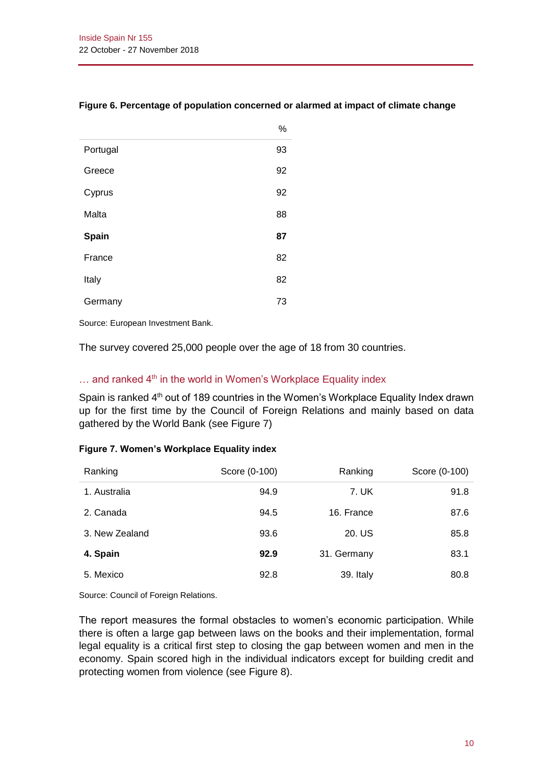|          | %  |
|----------|----|
| Portugal | 93 |
| Greece   | 92 |
| Cyprus   | 92 |
| Malta    | 88 |
| Spain    | 87 |
| France   | 82 |
| Italy    | 82 |
| Germany  | 73 |

# **Figure 6. Percentage of population concerned or alarmed at impact of climate change**

Source: European Investment Bank.

The survey covered 25,000 people over the age of 18 from 30 countries.

# $\ldots$  and ranked 4<sup>th</sup> in the world in Women's Workplace Equality index

Spain is ranked  $4<sup>th</sup>$  out of 189 countries in the Women's Workplace Equality Index drawn up for the first time by the Council of Foreign Relations and mainly based on data gathered by the World Bank (see Figure 7)

#### **Figure 7. Women's Workplace Equality index**

| Ranking        | Score (0-100) | Ranking     | Score (0-100) |
|----------------|---------------|-------------|---------------|
| 1. Australia   | 94.9          | 7. UK       | 91.8          |
| 2. Canada      | 94.5          | 16. France  | 87.6          |
| 3. New Zealand | 93.6          | 20. US      | 85.8          |
| 4. Spain       | 92.9          | 31. Germany | 83.1          |
| 5. Mexico      | 92.8          | 39. Italy   | 80.8          |

Source: Council of Foreign Relations.

The report measures the formal obstacles to women's economic participation. While there is often a large gap between laws on the books and their implementation, formal legal equality is a critical first step to closing the gap between women and men in the economy. Spain scored high in the individual indicators except for building credit and protecting women from violence (see Figure 8).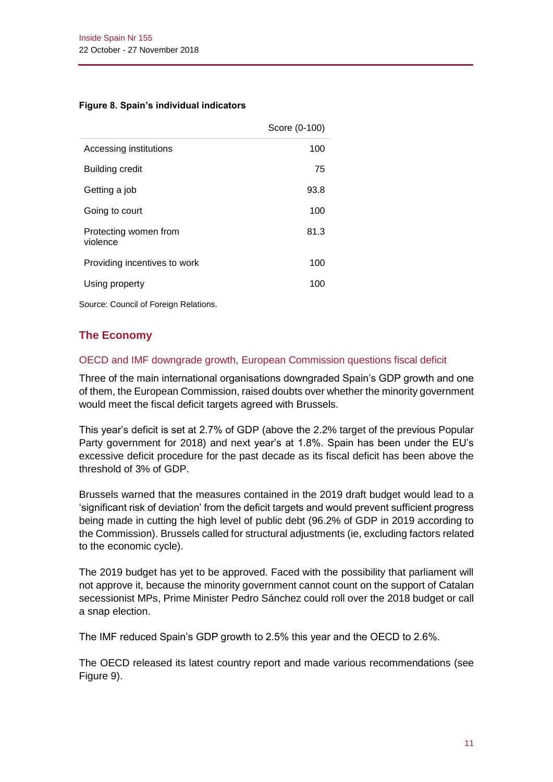#### **Figure 8. Spain's individual indicators**

|                                   | Score (0-100) |
|-----------------------------------|---------------|
| Accessing institutions            | 100           |
| Building credit                   | 75            |
| Getting a job                     | 93.8          |
| Going to court                    | 100           |
| Protecting women from<br>violence | 81.3          |
| Providing incentives to work      | 100           |
| Using property                    | 100           |

Source: Council of Foreign Relations.

# **The Economy**

# OECD and IMF downgrade growth, European Commission questions fiscal deficit

Three of the main international organisations downgraded Spain's GDP growth and one of them, the European Commission, raised doubts over whether the minority government would meet the fiscal deficit targets agreed with Brussels.

This year's deficit is set at 2.7% of GDP (above the 2.2% target of the previous Popular Party government for 2018) and next year's at 1.8%. Spain has been under the EU's excessive deficit procedure for the past decade as its fiscal deficit has been above the threshold of 3% of GDP.

Brussels warned that the measures contained in the 2019 draft budget would lead to a 'significant risk of deviation' from the deficit targets and would prevent sufficient progress being made in cutting the high level of public debt (96.2% of GDP in 2019 according to the Commission). Brussels called for structural adjustments (ie, excluding factors related to the economic cycle).

The 2019 budget has yet to be approved. Faced with the possibility that parliament will not approve it, because the minority government cannot count on the support of Catalan secessionist MPs, Prime Minister Pedro Sánchez could roll over the 2018 budget or call a snap election.

The IMF reduced Spain's GDP growth to 2.5% this year and the OECD to 2.6%.

The OECD released its latest country report and made various recommendations (see Figure 9).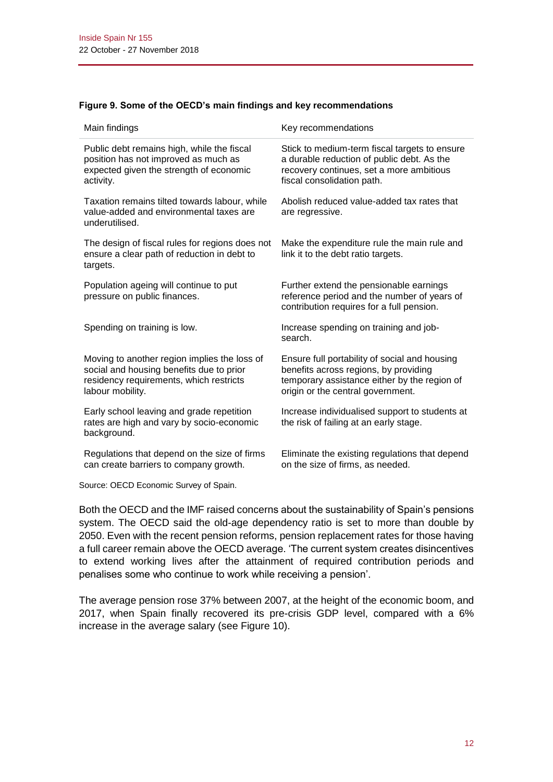|  |  |  |  | Figure 9. Some of the OECD's main findings and key recommendations |
|--|--|--|--|--------------------------------------------------------------------|
|--|--|--|--|--------------------------------------------------------------------|

| Main findings                                                                                                                                           | Key recommendations                                                                                                                                                         |
|---------------------------------------------------------------------------------------------------------------------------------------------------------|-----------------------------------------------------------------------------------------------------------------------------------------------------------------------------|
| Public debt remains high, while the fiscal<br>position has not improved as much as<br>expected given the strength of economic<br>activity.              | Stick to medium-term fiscal targets to ensure<br>a durable reduction of public debt. As the<br>recovery continues, set a more ambitious<br>fiscal consolidation path.       |
| Taxation remains tilted towards labour, while<br>value-added and environmental taxes are<br>underutilised.                                              | Abolish reduced value-added tax rates that<br>are regressive.                                                                                                               |
| The design of fiscal rules for regions does not<br>ensure a clear path of reduction in debt to<br>targets.                                              | Make the expenditure rule the main rule and<br>link it to the debt ratio targets.                                                                                           |
| Population ageing will continue to put<br>pressure on public finances.                                                                                  | Further extend the pensionable earnings<br>reference period and the number of years of<br>contribution requires for a full pension.                                         |
| Spending on training is low.                                                                                                                            | Increase spending on training and job-<br>search.                                                                                                                           |
| Moving to another region implies the loss of<br>social and housing benefits due to prior<br>residency requirements, which restricts<br>labour mobility. | Ensure full portability of social and housing<br>benefits across regions, by providing<br>temporary assistance either by the region of<br>origin or the central government. |
| Early school leaving and grade repetition<br>rates are high and vary by socio-economic<br>background.                                                   | Increase individualised support to students at<br>the risk of failing at an early stage.                                                                                    |
| Regulations that depend on the size of firms<br>can create barriers to company growth.                                                                  | Eliminate the existing regulations that depend<br>on the size of firms, as needed.                                                                                          |

Source: OECD Economic Survey of Spain.

Both the OECD and the IMF raised concerns about the sustainability of Spain's pensions system. The OECD said the old-age dependency ratio is set to more than double by 2050. Even with the recent pension reforms, pension replacement rates for those having a full career remain above the OECD average. 'The current system creates disincentives to extend working lives after the attainment of required contribution periods and penalises some who continue to work while receiving a pension'.

The average pension rose 37% between 2007, at the height of the economic boom, and 2017, when Spain finally recovered its pre-crisis GDP level, compared with a 6% increase in the average salary (see Figure 10).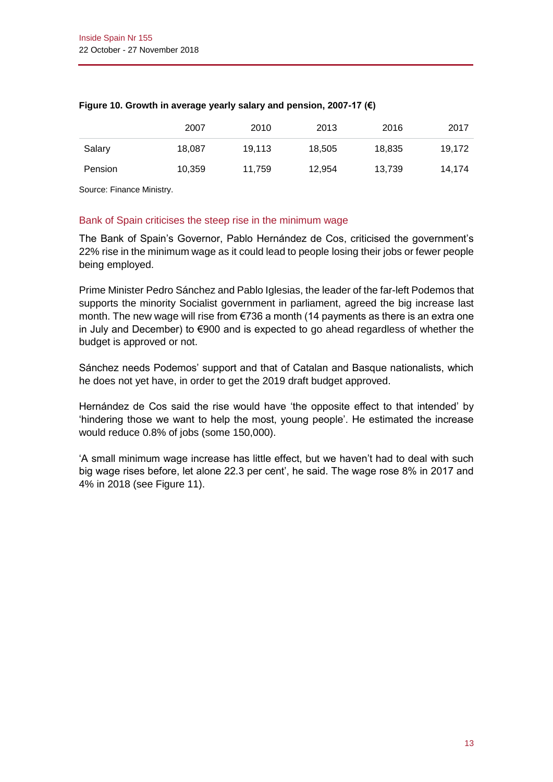|                | 2007   | 2010   | 2013   | 2016   | 2017   |
|----------------|--------|--------|--------|--------|--------|
| Salary         | 18,087 | 19.113 | 18,505 | 18,835 | 19,172 |
| <b>Pension</b> | 10,359 | 11.759 | 12,954 | 13,739 | 14.174 |

# **Figure 10. Growth in average yearly salary and pension, 2007-17 (€)**

Source: Finance Ministry.

# Bank of Spain criticises the steep rise in the minimum wage

The Bank of Spain's Governor, Pablo Hernández de Cos, criticised the government's 22% rise in the minimum wage as it could lead to people losing their jobs or fewer people being employed.

Prime Minister Pedro Sánchez and Pablo Iglesias, the leader of the far-left Podemos that supports the minority Socialist government in parliament, agreed the big increase last month. The new wage will rise from €736 a month (14 payments as there is an extra one in July and December) to €900 and is expected to go ahead regardless of whether the budget is approved or not.

Sánchez needs Podemos' support and that of Catalan and Basque nationalists, which he does not yet have, in order to get the 2019 draft budget approved.

Hernández de Cos said the rise would have 'the opposite effect to that intended' by 'hindering those we want to help the most, young people'. He estimated the increase would reduce 0.8% of jobs (some 150,000).

'A small minimum wage increase has little effect, but we haven't had to deal with such big wage rises before, let alone 22.3 per cent', he said. The wage rose 8% in 2017 and 4% in 2018 (see Figure 11).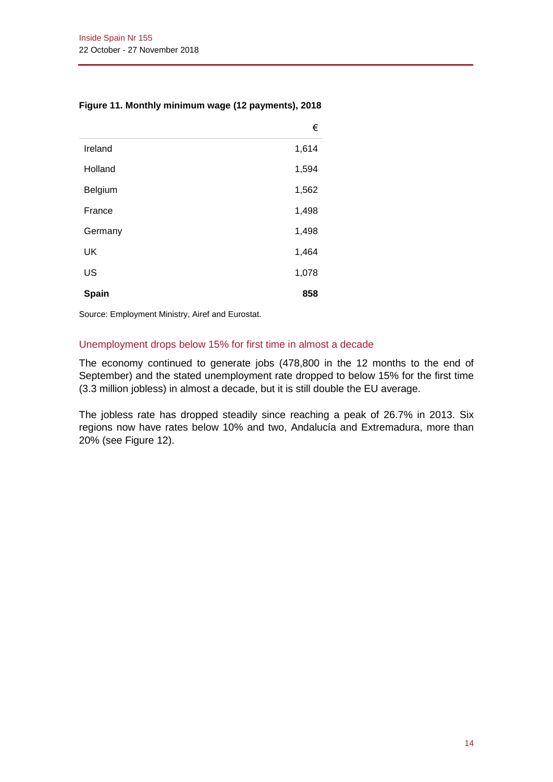|         | €     |
|---------|-------|
| Ireland | 1,614 |
| Holland | 1,594 |
| Belgium | 1,562 |
| France  | 1,498 |
| Germany | 1,498 |
| UK      | 1,464 |
| US      | 1,078 |
| Spain   | 858   |

# **Figure 11. Monthly minimum wage (12 payments), 2018**

Source: Employment Ministry, Airef and Eurostat.

# Unemployment drops below 15% for first time in almost a decade

The economy continued to generate jobs (478,800 in the 12 months to the end of September) and the stated unemployment rate dropped to below 15% for the first time (3.3 million jobless) in almost a decade, but it is still double the EU average.

The jobless rate has dropped steadily since reaching a peak of 26.7% in 2013. Six regions now have rates below 10% and two, Andalucía and Extremadura, more than 20% (see Figure 12).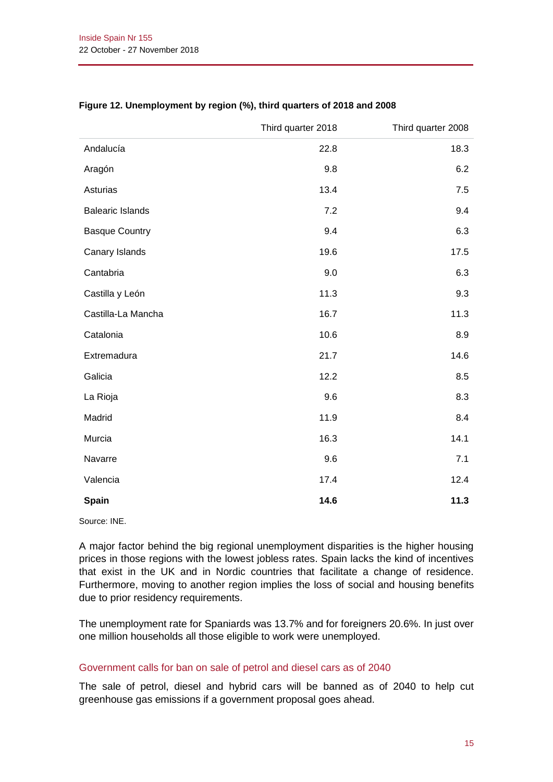|                         | Third quarter 2018 | Third quarter 2008 |
|-------------------------|--------------------|--------------------|
| Andalucía               | 22.8               | 18.3               |
| Aragón                  | 9.8                | 6.2                |
| Asturias                | 13.4               | 7.5                |
| <b>Balearic Islands</b> | 7.2                | 9.4                |
| <b>Basque Country</b>   | 9.4                | 6.3                |
| Canary Islands          | 19.6               | 17.5               |
| Cantabria               | 9.0                | 6.3                |
| Castilla y León         | 11.3               | 9.3                |
| Castilla-La Mancha      | 16.7               | 11.3               |
| Catalonia               | 10.6               | 8.9                |
| Extremadura             | 21.7               | 14.6               |
| Galicia                 | 12.2               | 8.5                |
| La Rioja                | 9.6                | 8.3                |
| Madrid                  | 11.9               | 8.4                |
| Murcia                  | 16.3               | 14.1               |
| Navarre                 | 9.6                | 7.1                |
| Valencia                | 17.4               | 12.4               |
| Spain                   | 14.6               | 11.3               |

# **Figure 12. Unemployment by region (%), third quarters of 2018 and 2008**

Source: INE.

A major factor behind the big regional unemployment disparities is the higher housing prices in those regions with the lowest jobless rates. Spain lacks the kind of incentives that exist in the UK and in Nordic countries that facilitate a change of residence. Furthermore, moving to another region implies the loss of social and housing benefits due to prior residency requirements.

The unemployment rate for Spaniards was 13.7% and for foreigners 20.6%. In just over one million households all those eligible to work were unemployed.

# Government calls for ban on sale of petrol and diesel cars as of 2040

The sale of petrol, diesel and hybrid cars will be banned as of 2040 to help cut greenhouse gas emissions if a government proposal goes ahead.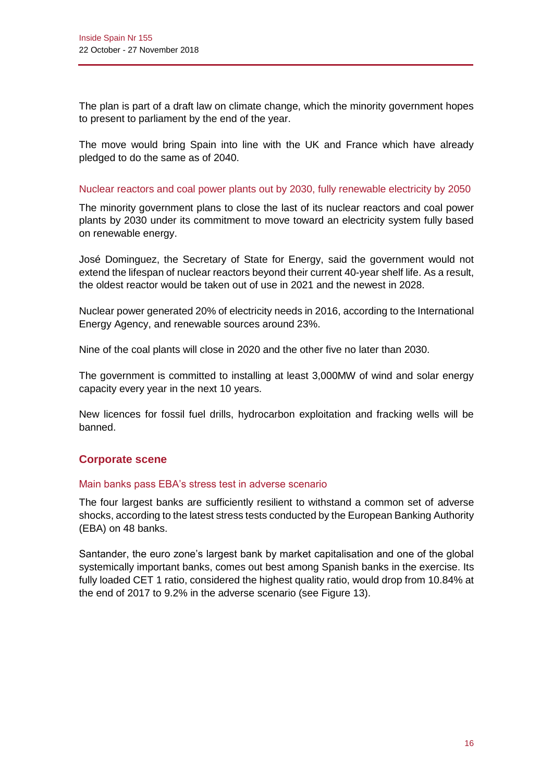The plan is part of a draft law on climate change, which the minority government hopes to present to parliament by the end of the year.

The move would bring Spain into line with the UK and France which have already pledged to do the same as of 2040.

# Nuclear reactors and coal power plants out by 2030, fully renewable electricity by 2050

The minority government plans to close the last of its nuclear reactors and coal power plants by 2030 under its commitment to move toward an electricity system fully based on renewable energy.

José Dominguez, the Secretary of State for Energy, said the government would not extend the lifespan of nuclear reactors beyond their current 40-year shelf life. As a result, the oldest reactor would be taken out of use in 2021 and the newest in 2028.

Nuclear power generated 20% of electricity needs in 2016, according to the International Energy Agency, and renewable sources around 23%.

Nine of the coal plants will close in 2020 and the other five no later than 2030.

The government is committed to installing at least 3,000MW of wind and solar energy capacity every year in the next 10 years.

New licences for fossil fuel drills, hydrocarbon exploitation and fracking wells will be banned.

# **Corporate scene**

#### Main banks pass EBA's stress test in adverse scenario

The four largest banks are sufficiently resilient to withstand a common set of adverse shocks, according to the latest stress tests conducted by the European Banking Authority (EBA) on 48 banks.

Santander, the euro zone's largest bank by market capitalisation and one of the global systemically important banks, comes out best among Spanish banks in the exercise. Its fully loaded CET 1 ratio, considered the highest quality ratio, would drop from 10.84% at the end of 2017 to 9.2% in the adverse scenario (see Figure 13).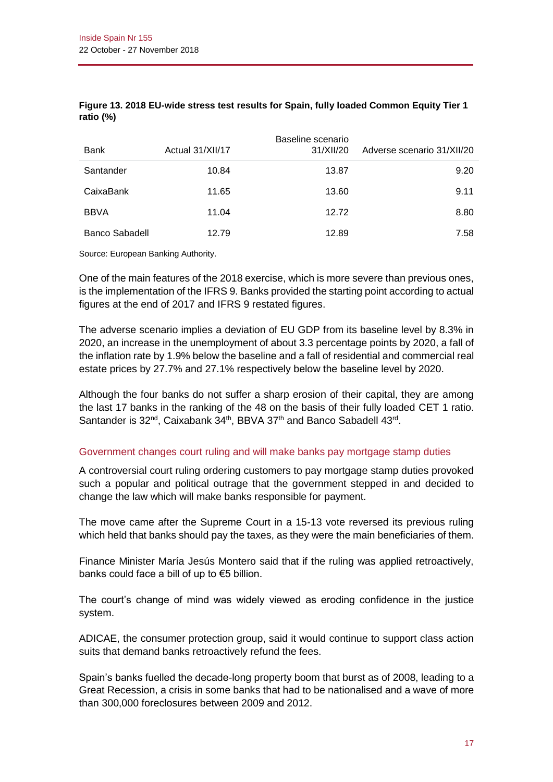| Bank           | Actual 31/XII/17 | Baseline scenario<br>31/XII/20 | Adverse scenario 31/XII/20 |
|----------------|------------------|--------------------------------|----------------------------|
| Santander      | 10.84            | 13.87                          | 9.20                       |
| CaixaBank      | 11.65            | 13.60                          | 9.11                       |
| <b>BBVA</b>    | 11.04            | 12.72                          | 8.80                       |
| Banco Sabadell | 12.79            | 12.89                          | 7.58                       |

# **Figure 13. 2018 EU-wide stress test results for Spain, fully loaded Common Equity Tier 1 ratio (%)**

Source: European Banking Authority.

One of the main features of the 2018 exercise, which is more severe than previous ones, is the implementation of the IFRS 9. Banks provided the starting point according to actual figures at the end of 2017 and IFRS 9 restated figures.

The adverse scenario implies a deviation of EU GDP from its baseline level by 8.3% in 2020, an increase in the unemployment of about 3.3 percentage points by 2020, a fall of the inflation rate by 1.9% below the baseline and a fall of residential and commercial real estate prices by 27.7% and 27.1% respectively below the baseline level by 2020.

Although the four banks do not suffer a sharp erosion of their capital, they are among the last 17 banks in the ranking of the 48 on the basis of their fully loaded CET 1 ratio. Santander is 32<sup>nd</sup>, Caixabank 34<sup>th</sup>, BBVA 37<sup>th</sup> and Banco Sabadell 43<sup>rd</sup>.

# Government changes court ruling and will make banks pay mortgage stamp duties

A controversial court ruling ordering customers to pay mortgage stamp duties provoked such a popular and political outrage that the government stepped in and decided to change the law which will make banks responsible for payment.

The move came after the Supreme Court in a 15-13 vote reversed its previous ruling which held that banks should pay the taxes, as they were the main beneficiaries of them.

Finance Minister María Jesús Montero said that if the ruling was applied retroactively, banks could face a bill of up to €5 billion.

The court's change of mind was widely viewed as eroding confidence in the justice system.

ADICAE, the consumer protection group, said it would continue to support class action suits that demand banks retroactively refund the fees.

Spain's banks fuelled the decade-long property boom that burst as of 2008, leading to a Great Recession, a crisis in some banks that had to be nationalised and a wave of more than 300,000 foreclosures between 2009 and 2012.